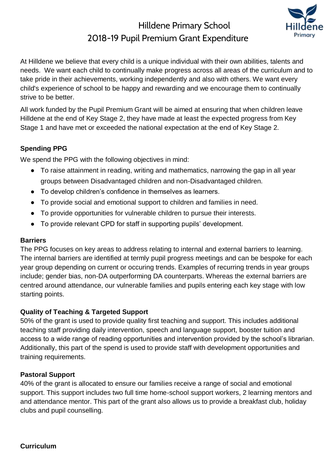## Hilldene Primary School 2018-19 Pupil Premium Grant Expenditure



At Hilldene we believe that every child is a unique individual with their own abilities, talents and needs. We want each child to continually make progress across all areas of the curriculum and to take pride in their achievements, working independently and also with others. We want every child's experience of school to be happy and rewarding and we encourage them to continually strive to be better.

All work funded by the Pupil Premium Grant will be aimed at ensuring that when children leave Hilldene at the end of Key Stage 2, they have made at least the expected progress from Key Stage 1 and have met or exceeded the national expectation at the end of Key Stage 2.

### **Spending PPG**

We spend the PPG with the following objectives in mind:

- To raise attainment in reading, writing and mathematics, narrowing the gap in all year groups between Disadvantaged children and non-Disadvantaged children.
- To develop children's confidence in themselves as learners.
- To provide social and emotional support to children and families in need.
- To provide opportunities for vulnerable children to pursue their interests.
- To provide relevant CPD for staff in supporting pupils' development.

#### **Barriers**

The PPG focuses on key areas to address relating to internal and external barriers to learning. The internal barriers are identified at termly pupil progress meetings and can be bespoke for each year group depending on current or occuring trends. Examples of recurring trends in year groups include; gender bias, non-DA outperforming DA counterparts. Whereas the external barriers are centred around attendance, our vulnerable families and pupils entering each key stage with low starting points.

#### **Quality of Teaching & Targeted Support**

50% of the grant is used to provide quality first teaching and support. This includes additional teaching staff providing daily intervention, speech and language support, booster tuition and access to a wide range of reading opportunities and intervention provided by the school's librarian. Additionally, this part of the spend is used to provide staff with development opportunities and training requirements.

#### **Pastoral Support**

40% of the grant is allocated to ensure our families receive a range of social and emotional support. This support includes two full time home-school support workers, 2 learning mentors and and attendance mentor. This part of the grant also allows us to provide a breakfast club, holiday clubs and pupil counselling.